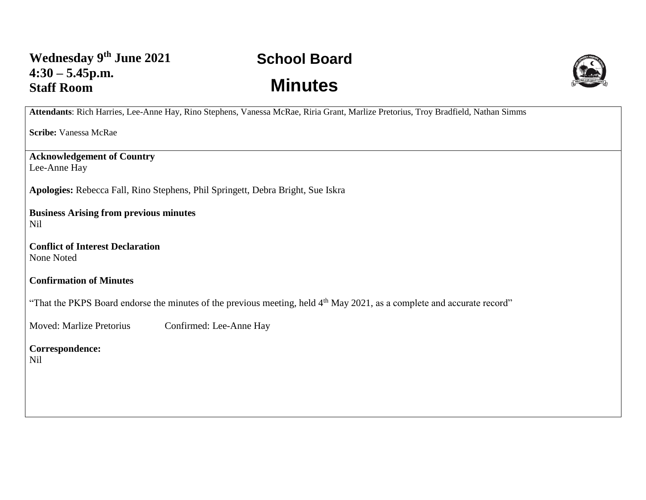## **School Board Minutes**



**Attendants**: Rich Harries, Lee-Anne Hay, Rino Stephens, Vanessa McRae, Riria Grant, Marlize Pretorius, Troy Bradfield, Nathan Simms

**Scribe:** Vanessa McRae

**Acknowledgement of Country** Lee-Anne Hay

**Apologies:** Rebecca Fall, Rino Stephens, Phil Springett, Debra Bright, Sue Iskra

**Business Arising from previous minutes** Nil

**Conflict of Interest Declaration** None Noted

**Confirmation of Minutes** 

"That the PKPS Board endorse the minutes of the previous meeting, held 4<sup>th</sup> May 2021, as a complete and accurate record"

Moved: Marlize Pretorius Confirmed: Lee-Anne Hay

**Correspondence:**  Nil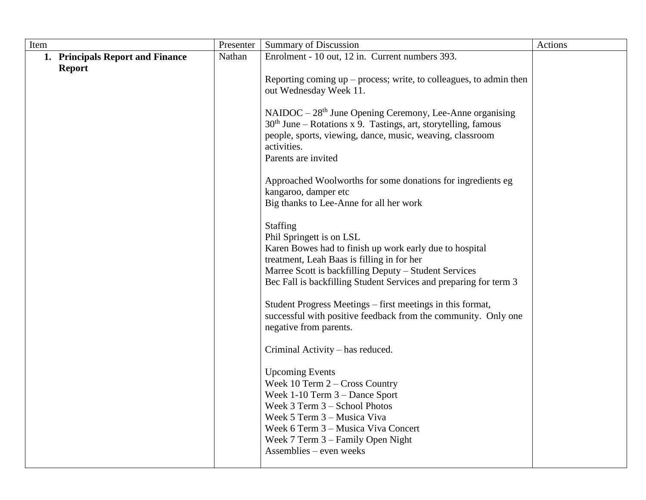| Item                                              | Presenter | <b>Summary of Discussion</b>                                                                                                                                                                                                                                                                                                                                                                                                                                                                                                                                                                                                                                                                                                                                                                                                                                                                                                                                                                                                                                                                                                                                                                                                                                      | Actions |
|---------------------------------------------------|-----------|-------------------------------------------------------------------------------------------------------------------------------------------------------------------------------------------------------------------------------------------------------------------------------------------------------------------------------------------------------------------------------------------------------------------------------------------------------------------------------------------------------------------------------------------------------------------------------------------------------------------------------------------------------------------------------------------------------------------------------------------------------------------------------------------------------------------------------------------------------------------------------------------------------------------------------------------------------------------------------------------------------------------------------------------------------------------------------------------------------------------------------------------------------------------------------------------------------------------------------------------------------------------|---------|
| 1. Principals Report and Finance<br><b>Report</b> | Nathan    | Enrolment - 10 out, 12 in. Current numbers 393.<br>Reporting coming $up$ – process; write, to colleagues, to admin then<br>out Wednesday Week 11.<br>$NAIDOC - 28th June Opening Ceremony, Lee-Anne organisms$<br>$30th$ June – Rotations x 9. Tastings, art, storytelling, famous<br>people, sports, viewing, dance, music, weaving, classroom<br>activities.<br>Parents are invited<br>Approached Woolworths for some donations for ingredients eg<br>kangaroo, damper etc<br>Big thanks to Lee-Anne for all her work<br><b>Staffing</b><br>Phil Springett is on LSL<br>Karen Bowes had to finish up work early due to hospital<br>treatment, Leah Baas is filling in for her<br>Marree Scott is backfilling Deputy - Student Services<br>Bec Fall is backfilling Student Services and preparing for term 3<br>Student Progress Meetings – first meetings in this format,<br>successful with positive feedback from the community. Only one<br>negative from parents.<br>Criminal Activity – has reduced.<br><b>Upcoming Events</b><br>Week $10$ Term $2$ – Cross Country<br>Week $1-10$ Term $3 -$ Dance Sport<br>Week 3 Term 3 - School Photos<br>Week 5 Term 3 – Musica Viva<br>Week 6 Term 3 – Musica Viva Concert<br>Week $7$ Term $3$ – Family Open Night |         |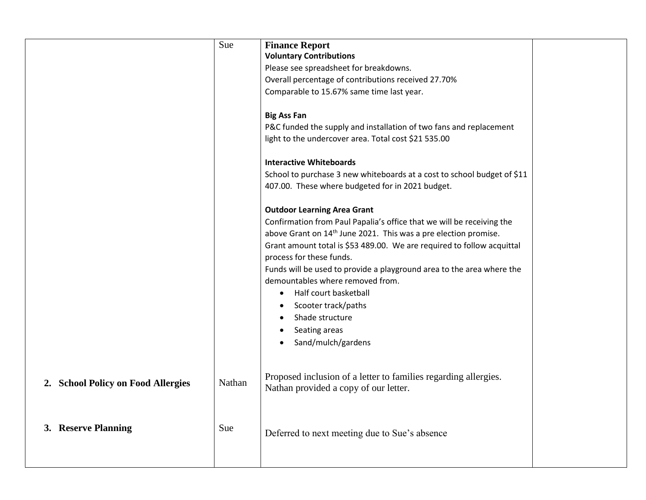|                                    | Sue    | <b>Finance Report</b><br><b>Voluntary Contributions</b><br>Please see spreadsheet for breakdowns.<br>Overall percentage of contributions received 27.70%<br>Comparable to 15.67% same time last year.<br><b>Big Ass Fan</b><br>P&C funded the supply and installation of two fans and replacement<br>light to the undercover area. Total cost \$21 535.00<br><b>Interactive Whiteboards</b><br>School to purchase 3 new whiteboards at a cost to school budget of \$11<br>407.00. These where budgeted for in 2021 budget.<br><b>Outdoor Learning Area Grant</b><br>Confirmation from Paul Papalia's office that we will be receiving the<br>above Grant on 14 <sup>th</sup> June 2021. This was a pre election promise.<br>Grant amount total is \$53 489.00. We are required to follow acquittal<br>process for these funds.<br>Funds will be used to provide a playground area to the area where the<br>demountables where removed from.<br>Half court basketball<br>Scooter track/paths<br>Shade structure<br>Seating areas<br>Sand/mulch/gardens |  |
|------------------------------------|--------|-------------------------------------------------------------------------------------------------------------------------------------------------------------------------------------------------------------------------------------------------------------------------------------------------------------------------------------------------------------------------------------------------------------------------------------------------------------------------------------------------------------------------------------------------------------------------------------------------------------------------------------------------------------------------------------------------------------------------------------------------------------------------------------------------------------------------------------------------------------------------------------------------------------------------------------------------------------------------------------------------------------------------------------------------------|--|
| 2. School Policy on Food Allergies | Nathan | Proposed inclusion of a letter to families regarding allergies.<br>Nathan provided a copy of our letter.                                                                                                                                                                                                                                                                                                                                                                                                                                                                                                                                                                                                                                                                                                                                                                                                                                                                                                                                              |  |
| 3. Reserve Planning                | Sue    | Deferred to next meeting due to Sue's absence                                                                                                                                                                                                                                                                                                                                                                                                                                                                                                                                                                                                                                                                                                                                                                                                                                                                                                                                                                                                         |  |